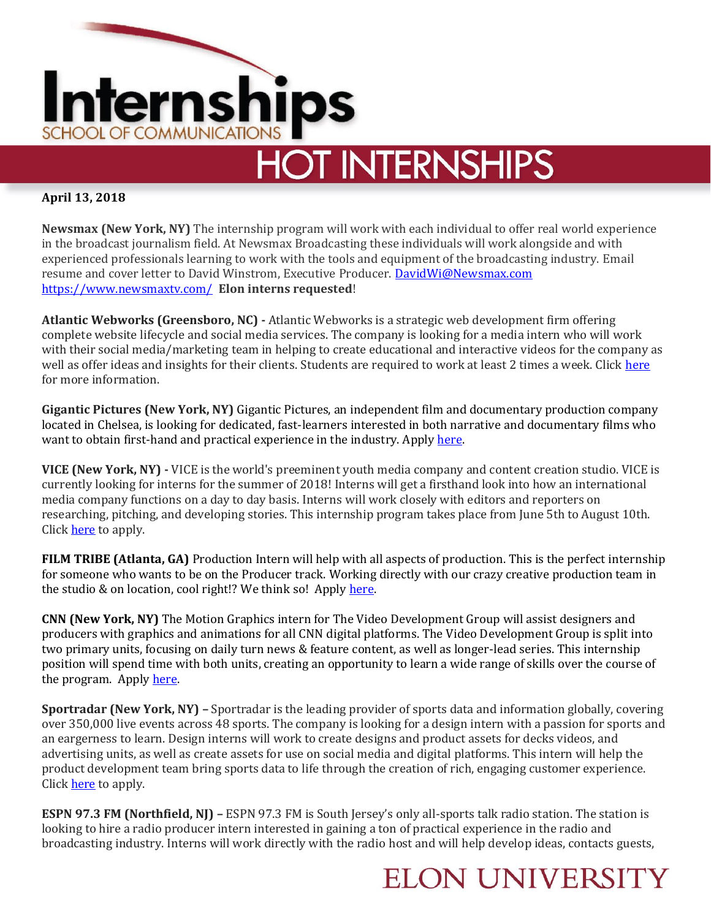

# **HOT INTERNSHIPS**

### **April 13, 2018**

**Newsmax (New York, NY)** The internship program will work with each individual to offer real world experience in the broadcast journalism field. At Newsmax Broadcasting these individuals will work alongside and with experienced professionals learning to work with the tools and equipment of the broadcasting industry. Email resume and cover letter to David Winstrom, Executive Producer. [DavidWi@Newsmax.com](mailto:DavidWi@Newsmax.com)  <https://www.newsmaxtv.com/>**Elon interns requested**!

**Atlantic Webworks (Greensboro, NC) -** Atlantic Webworks is a strategic web development firm offering complete website lifecycle and social media services. The company is looking for a media intern who will work with their social media/marketing team in helping to create educational and interactive videos for the company as well as offer ideas and insights for their clients. Students are required to work at least 2 times a week. Click [here](https://www.linkedin.com/jobs/view/media-intern-film-video-photo-summer-2018-at-atlantic-webworks-622548859/?utm_campaign=google_jobs_apply&utm_source=google_jobs_apply&utm_medium=organic) for more information.

**Gigantic Pictures (New York, NY)** Gigantic Pictures, an independent film and documentary production company located in Chelsea, is looking for dedicated, fast-learners interested in both narrative and documentary films who want to obtain first-hand and practical experience in the industry. Apply [here.](https://www.entertainmentcareers.net/gigantic-pictures/summer-intern-producing/job/254554/)

**VICE (New York, NY) -** VICE is the world's preeminent youth media company and content creation studio. VICE is currently looking for interns for the summer of 2018! Interns will get a firsthand look into how an international media company functions on a day to day basis. Interns will work closely with editors and reporters on researching, pitching, and developing stories. This internship program takes place from June 5th to August 10th. Click **here** to apply.

**FILM TRIBE (Atlanta, GA)** Production Intern will help with all aspects of production. This is the perfect internship for someone who wants to be on the Producer track. Working directly with our crazy creative production team in the studio & on location, cool right!? We think so! Apply [here.](http://filmtribeatl.com/pulse/atlanta-production-interns-2/)

**CNN (New York, NY)** The Motion Graphics intern for The Video Development Group will assist designers and producers with graphics and animations for all CNN digital platforms. The Video Development Group is split into two primary units, focusing on daily turn news & feature content, as well as longer-lead series. This internship position will spend time with both units, creating an opportunity to learn a wide range of skills over the course of the program. Apply [here.](https://www.entertainmentcareers.net/cnn/summer-paid-intern-motion-graphics/job/254776/)

**Sportradar (New York, NY) –** Sportradar is the leading provider of sports data and information globally, covering over 350,000 live events across 48 sports. The company is looking for a design intern with a passion for sports and an eargerness to learn. Design interns will work to create designs and product assets for decks videos, and advertising units, as well as create assets for use on social media and digital platforms. This intern will help the product development team bring sports data to life through the creation of rich, engaging customer experience. Click [here](https://sportradar.us/job-listings/) to apply.

**ESPN 97.3 FM (Northfield, NJ) –** ESPN 97.3 FM is South Jersey's only all-sports talk radio station. The station is looking to hire a radio producer intern interested in gaining a ton of practical experience in the radio and broadcasting industry. Interns will work directly with the radio host and will help develop ideas, contacts guests,

### **ELON UNIVERSITY**